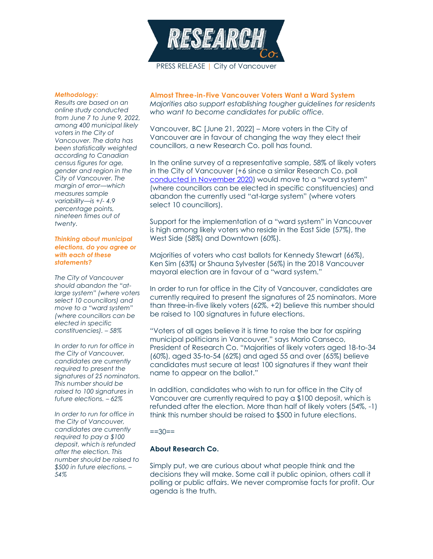

### *Methodology:*

*Results are based on an online study conducted from June 7 to June 9, 2022, among 400 municipal likely voters in the City of Vancouver. The data has been statistically weighted according to Canadian census figures for age, gender and region in the City of Vancouver. The margin of error—which measures sample variability—is +/- 4.9 percentage points, nineteen times out of twenty.*

#### *Thinking about municipal elections, do you agree or with each of these statements?*

*The City of Vancouver should abandon the "atlarge system" (where voters select 10 councillors) and move to a "ward system" (where councillors can be elected in specific constituencies). – 58%*

*In order to run for office in the City of Vancouver, candidates are currently required to present the signatures of 25 nominators. This number should be raised to 100 signatures in future elections. – 62%*

*In order to run for office in the City of Vancouver, candidates are currently required to pay a \$100 deposit, which is refunded after the election. This number should be raised to \$500 in future elections. – 54%*

## **Almost Three-in-Five Vancouver Voters Want a Ward System**

*Majorities also support establishing tougher guidelines for residents who want to become candidates for public office.*

Vancouver, BC [June 21, 2022] – More voters in the City of Vancouver are in favour of changing the way they elect their councillors, a new Research Co. poll has found.

In the online survey of a representative sample, 58% of likely voters in the City of Vancouver (+6 since a similar Research Co. poll [conducted in November 2020\)](https://researchco.ca/2020/11/20/vancouver-issues/) would move to a "ward system" (where councillors can be elected in specific constituencies) and abandon the currently used "at-large system" (where voters select 10 councillors).

Support for the implementation of a "ward system" in Vancouver is high among likely voters who reside in the East Side (57%), the West Side (58%) and Downtown (60%).

Majorities of voters who cast ballots for Kennedy Stewart (66%), Ken Sim (63%) or Shauna Sylvester (56%) in the 2018 Vancouver mayoral election are in favour of a "ward system."

In order to run for office in the City of Vancouver, candidates are currently required to present the signatures of 25 nominators. More than three-in-five likely voters (62%, +2) believe this number should be raised to 100 signatures in future elections.

"Voters of all ages believe it is time to raise the bar for aspiring municipal politicians in Vancouver," says Mario Canseco, President of Research Co. "Majorities of likely voters aged 18-to-34 (60%), aged 35-to-54 (62%) and aged 55 and over (65%) believe candidates must secure at least 100 signatures if they want their name to appear on the ballot."

In addition, candidates who wish to run for office in the City of Vancouver are currently required to pay a \$100 deposit, which is refunded after the election. More than half of likely voters (54%, -1) think this number should be raised to \$500 in future elections.

#### $==30==$

#### **About Research Co.**

Simply put, we are curious about what people think and the decisions they will make. Some call it public opinion, others call it polling or public affairs. We never compromise facts for profit. Our agenda is the truth.